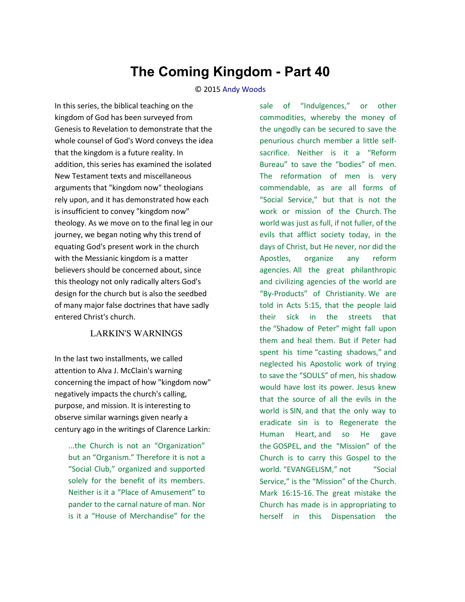# **The Coming Kingdom - Part 40**

#### © 2015 [Andy Woods](http://www.spiritandtruth.org/id/aw.htm)

In this series, the biblical teaching on the kingdom of God has been surveyed from Genesis to Revelation to demonstrate that the whole counsel of God's Word conveys the idea that the kingdom is a future reality. In addition, this series has examined the isolated New Testament texts and miscellaneous arguments that "kingdom now" theologians rely upon, and it has demonstrated how each is insufficient to convey "kingdom now" theology. As we move on to the final leg in our journey, we began noting why this trend of equating God's present work in the church with the Messianic kingdom is a matter believers should be concerned about, since this theology not only radically alters God's design for the church but is also the seedbed of many major false doctrines that have sadly entered Christ's church.

### LARKIN'S WARNINGS

In the last two installments, we called attention to Alva J. McClain's warning concerning the impact of how "kingdom now" negatively impacts the church's calling, purpose, and mission. It is interesting to observe similar warnings given nearly a century ago in the writings of Clarence Larkin:

...the Church is not an "Organization" but an "Organism." Therefore it is not a "Social Club," organized and supported solely for the benefit of its members. Neither is it a "Place of Amusement" to pander to the carnal nature of man. Nor is it a "House of Merchandise" for the sale of "Indulgences," or other commodities, whereby the money of the ungodly can be secured to save the penurious church member a little selfsacrifice. Neither is it a "Reform Bureau" to save the "bodies" of men. The reformation of men is very commendable, as are all forms of "Social Service," but that is not the work or mission of the Church. The world was just as full, if not fuller, of the evils that afflict society today, in the days of Christ, but He never, nor did the Apostles, organize any reform agencies. All the great philanthropic and civilizing agencies of the world are "By-Products" of Christianity. We are told in Acts 5:15, that the people laid their sick in the streets that the "Shadow of Peter" might fall upon them and heal them. But if Peter had spent his time "casting shadows," and neglected his Apostolic work of trying to save the "SOULS" of men, his shadow would have lost its power. Jesus knew that the source of all the evils in the world is SIN, and that the only way to eradicate sin is to Regenerate the Human Heart, and so He gave the GOSPEL, and the "Mission" of the Church is to carry this Gospel to the world. "EVANGELISM." not "Social Service," is the "Mission" of the Church. Mark 16:15-16. The great mistake the Church has made is in appropriating to herself in this Dispensation the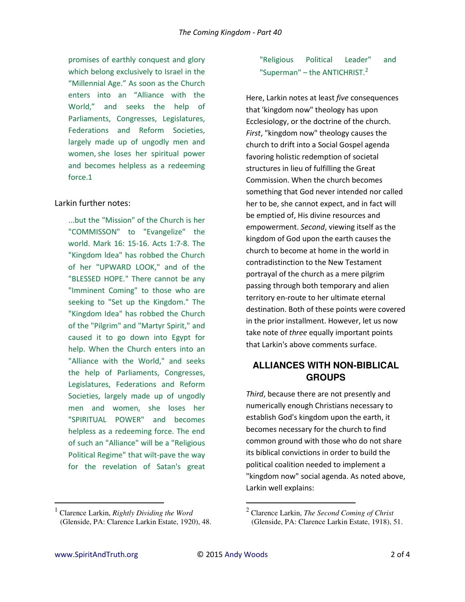promises of earthly conquest and glory which belong exclusively to Israel in the "Millennial Age." As soon as the Church enters into an "Alliance with the World," and seeks the help of Parliaments, Congresses, Legislatures, Federations and Reform Societies, largely made up of ungodly men and women, she loses her spiritual power and becomes helpless as a redeeming force.1

## Larkin further notes:

...but the "Mission" of the Church is her "COMMISSON" to "Evangelize" the world. Mark 16: 15-16. Acts 1:7-8. The "Kingdom ldea" has robbed the Church of her "UPWARD LOOK," and of the "BLESSED HOPE." There cannot be any "Imminent Coming" to those who are seeking to "Set up the Kingdom." The "Kingdom Idea" has robbed the Church of the "Pilgrim" and "Martyr Spirit," and caused it to go down into Egypt for help. When the Church enters into an "Alliance with the World," and seeks the help of Parliaments, Congresses, Legislatures, Federations and Reform Societies, largely made up of ungodly men and women, she loses her "SPIRITUAL POWER" and becomes helpless as a redeeming force. The end of such an "Alliance" will be a "Religious Political Regime" that wilt-pave the way for the revelation of Satan's great

## "Religious Political Leader" and "Superman" – the ANTICHRIST. $2$

Here, Larkin notes at least *five* consequences that 'kingdom now" theology has upon Ecclesiology, or the doctrine of the church. *First*, "kingdom now" theology causes the church to drift into a Social Gospel agenda favoring holistic redemption of societal structures in lieu of fulfilling the Great Commission. When the church becomes something that God never intended nor called her to be, she cannot expect, and in fact will be emptied of, His divine resources and empowerment. *Second*, viewing itself as the kingdom of God upon the earth causes the church to become at home in the world in contradistinction to the New Testament portrayal of the church as a mere pilgrim passing through both temporary and alien territory en-route to her ultimate eternal destination. Both of these points were covered in the prior installment. However, let us now take note of *three* equally important points that Larkin's above comments surface.

# **ALLIANCES WITH NON-BIBLICAL GROUPS**

*Third*, because there are not presently and numerically enough Christians necessary to establish God's kingdom upon the earth, it becomes necessary for the church to find common ground with those who do not share its biblical convictions in order to build the political coalition needed to implement a "kingdom now" social agenda. As noted above, Larkin well explains:

 $\overline{a}$ 

 $\overline{a}$ 

<sup>1</sup> Clarence Larkin, *Rightly Dividing the Word* (Glenside, PA: Clarence Larkin Estate, 1920), 48.

<sup>2</sup> Clarence Larkin, *The Second Coming of Christ* (Glenside, PA: Clarence Larkin Estate, 1918), 51.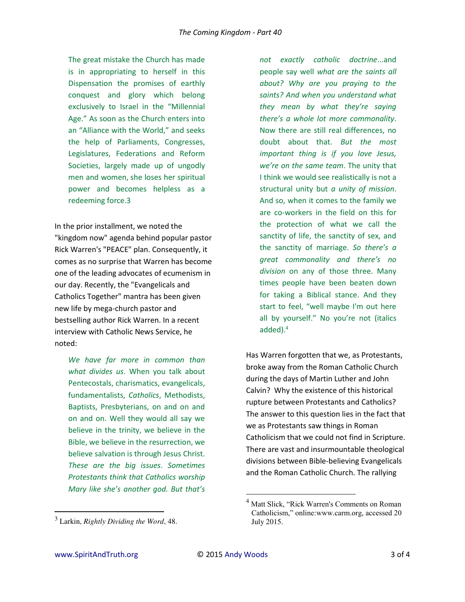The great mistake the Church has made is in appropriating to herself in this Dispensation the promises of earthly conquest and glory which belong exclusively to Israel in the "Millennial Age." As soon as the Church enters into an "Alliance with the World," and seeks the help of Parliaments, Congresses, Legislatures, Federations and Reform Societies, largely made up of ungodly men and women, she loses her spiritual power and becomes helpless as a redeeming force.3

In the prior installment, we noted the "kingdom now" agenda behind popular pastor Rick Warren's "PEACE" plan. Consequently, it comes as no surprise that Warren has become one of the leading advocates of ecumenism in our day. Recently, the "Evangelicals and Catholics Together" mantra has been given new life by mega-church pastor and bestselling author Rick Warren. In a recent interview with Catholic News Service, he noted:

*We have far more in common than what divides us*. When you talk about Pentecostals, charismatics, evangelicals, fundamentalists, *Catholics*, Methodists, Baptists, Presbyterians, on and on and on and on. Well they would all say we believe in the trinity, we believe in the Bible, we believe in the resurrection, we believe salvation is through Jesus Christ. *These are the big issues*. *Sometimes Protestants think that Catholics worship Mary like she's another god. But that's* 

*not exactly catholic doctrine*...and people say well *what are the saints all about? Why are you praying to the saints? And when you understand what they mean by what they're saying there's a whole lot more commonality.* Now there are still real differences, no doubt about that. *But the most important thing is if you love Jesus, we're on the same team*. The unity that I think we would see realistically is not a structural unity but *a unity of mission*. And so, when it comes to the family we are co-workers in the field on this for the protection of what we call the sanctity of life, the sanctity of sex, and the sanctity of marriage. *So there's a great commonality and there's no division* on any of those three. Many times people have been beaten down for taking a Biblical stance. And they start to feel, "well maybe I'm out here all by yourself." No you're not (italics added).<sup>4</sup>

Has Warren forgotten that we, as Protestants, broke away from the Roman Catholic Church during the days of Martin Luther and John Calvin? Why the existence of this historical rupture between Protestants and Catholics? The answer to this question lies in the fact that we as Protestants saw things in Roman Catholicism that we could not find in Scripture. There are vast and insurmountable theological divisions between Bible-believing Evangelicals and the Roman Catholic Church. The rallying

 $\overline{a}$ 

l

<sup>3</sup> Larkin, *Rightly Dividing the Word*, 48.

<sup>&</sup>lt;sup>4</sup> Matt Slick, "Rick Warren's Comments on Roman Catholicism," online:www.carm.org, accessed 20 July 2015.